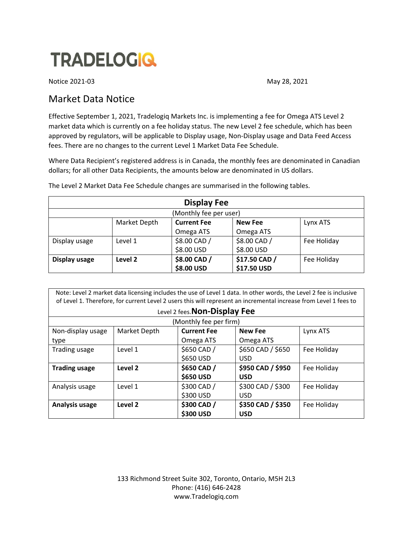## **TRADELOGIQ**

Notice 2021‐03 May 28, 2021

## Market Data Notice

Effective September 1, 2021, Tradelogiq Markets Inc. is implementing a fee for Omega ATS Level 2 market data which is currently on a fee holiday status. The new Level 2 fee schedule, which has been approved by regulators, will be applicable to Display usage, Non‐Display usage and Data Feed Access fees. There are no changes to the current Level 1 Market Data Fee Schedule.

Where Data Recipient's registered address is in Canada, the monthly fees are denominated in Canadian dollars; for all other Data Recipients, the amounts below are denominated in US dollars.

| <b>Display Fee</b>     |                |                    |                |             |  |  |  |
|------------------------|----------------|--------------------|----------------|-------------|--|--|--|
| (Monthly fee per user) |                |                    |                |             |  |  |  |
|                        | Market Depth   | <b>Current Fee</b> | <b>New Fee</b> | Lynx ATS    |  |  |  |
|                        |                | Omega ATS          | Omega ATS      |             |  |  |  |
| Display usage          | Level 1        | \$8.00 CAD /       | \$8.00 CAD /   | Fee Holiday |  |  |  |
|                        |                | \$8.00 USD         | \$8.00 USD     |             |  |  |  |
| Display usage          | <b>Level 2</b> | \$8.00 CAD /       | \$17.50 CAD /  | Fee Holiday |  |  |  |
|                        |                | \$8.00 USD         | \$17.50 USD    |             |  |  |  |

The Level 2 Market Data Fee Schedule changes are summarised in the following tables.

| Note: Level 2 market data licensing includes the use of Level 1 data. In other words, the Level 2 fee is inclusive<br>of Level 1. Therefore, for current Level 2 users this will represent an incremental increase from Level 1 fees to |              |                    |                   |             |  |  |  |
|-----------------------------------------------------------------------------------------------------------------------------------------------------------------------------------------------------------------------------------------|--------------|--------------------|-------------------|-------------|--|--|--|
| Level 2 fees. Non-Display Fee                                                                                                                                                                                                           |              |                    |                   |             |  |  |  |
| (Monthly fee per firm)                                                                                                                                                                                                                  |              |                    |                   |             |  |  |  |
| Non-display usage                                                                                                                                                                                                                       | Market Depth | <b>Current Fee</b> | <b>New Fee</b>    | Lynx ATS    |  |  |  |
| type                                                                                                                                                                                                                                    |              | Omega ATS          | Omega ATS         |             |  |  |  |
| Trading usage                                                                                                                                                                                                                           | Level 1      | \$650 CAD /        | \$650 CAD / \$650 | Fee Holiday |  |  |  |
|                                                                                                                                                                                                                                         |              | \$650 USD          | <b>USD</b>        |             |  |  |  |
| <b>Trading usage</b>                                                                                                                                                                                                                    | Level 2      | \$650 CAD /        | \$950 CAD / \$950 | Fee Holiday |  |  |  |
|                                                                                                                                                                                                                                         |              | \$650 USD          | <b>USD</b>        |             |  |  |  |
| Analysis usage                                                                                                                                                                                                                          | Level 1      | \$300 CAD /        | \$300 CAD / \$300 | Fee Holiday |  |  |  |
|                                                                                                                                                                                                                                         |              | \$300 USD          | <b>USD</b>        |             |  |  |  |
| Analysis usage                                                                                                                                                                                                                          | Level 2      | \$300 CAD /        | \$350 CAD / \$350 | Fee Holiday |  |  |  |
|                                                                                                                                                                                                                                         |              | \$300 USD          | <b>USD</b>        |             |  |  |  |

133 Richmond Street Suite 302, Toronto, Ontario, M5H 2L3 Phone: (416) 646‐2428 www.Tradelogiq.com